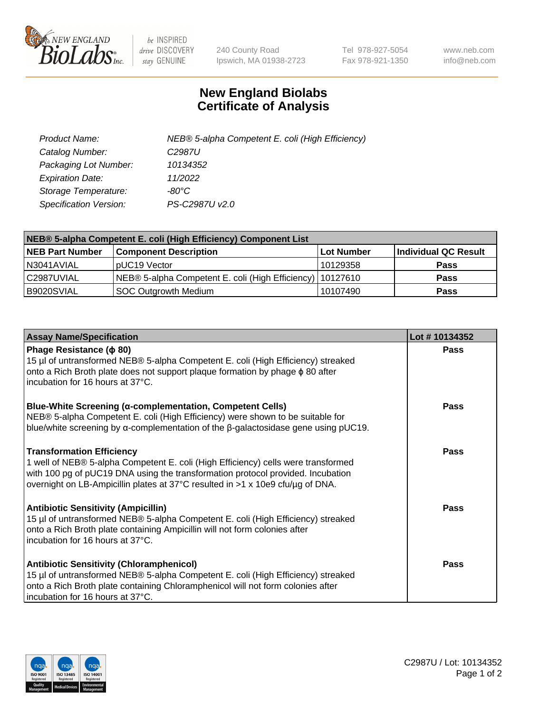

 $be$  INSPIRED drive DISCOVERY stay GENUINE

240 County Road Ipswich, MA 01938-2723 Tel 978-927-5054 Fax 978-921-1350 www.neb.com info@neb.com

## **New England Biolabs Certificate of Analysis**

| Product Name:           | NEB® 5-alpha Competent E. coli (High Efficiency) |
|-------------------------|--------------------------------------------------|
| Catalog Number:         | C <sub>2987</sub> U                              |
| Packaging Lot Number:   | 10134352                                         |
| <b>Expiration Date:</b> | 11/2022                                          |
| Storage Temperature:    | -80°C                                            |
| Specification Version:  | PS-C2987U v2.0                                   |

| NEB® 5-alpha Competent E. coli (High Efficiency) Component List |                                                             |              |                      |  |
|-----------------------------------------------------------------|-------------------------------------------------------------|--------------|----------------------|--|
| <b>NEB Part Number</b>                                          | <b>Component Description</b>                                | l Lot Number | Individual QC Result |  |
| N3041AVIAL                                                      | pUC19 Vector                                                | 10129358     | <b>Pass</b>          |  |
| C2987UVIAL                                                      | NEB® 5-alpha Competent E. coli (High Efficiency)   10127610 |              | <b>Pass</b>          |  |
| B9020SVIAL                                                      | <b>SOC Outgrowth Medium</b>                                 | 10107490     | <b>Pass</b>          |  |

| <b>Assay Name/Specification</b>                                                                                                                                                                                                                                                            | Lot #10134352 |
|--------------------------------------------------------------------------------------------------------------------------------------------------------------------------------------------------------------------------------------------------------------------------------------------|---------------|
| Phage Resistance ( $\phi$ 80)<br>15 µl of untransformed NEB® 5-alpha Competent E. coli (High Efficiency) streaked<br>onto a Rich Broth plate does not support plaque formation by phage $\phi$ 80 after<br>incubation for 16 hours at 37°C.                                                | Pass          |
| <b>Blue-White Screening (α-complementation, Competent Cells)</b><br>NEB® 5-alpha Competent E. coli (High Efficiency) were shown to be suitable for<br>blue/white screening by $\alpha$ -complementation of the $\beta$ -galactosidase gene using pUC19.                                    | Pass          |
| <b>Transformation Efficiency</b><br>1 well of NEB® 5-alpha Competent E. coli (High Efficiency) cells were transformed<br>with 100 pg of pUC19 DNA using the transformation protocol provided. Incubation<br>overnight on LB-Ampicillin plates at 37°C resulted in >1 x 10e9 cfu/µg of DNA. | <b>Pass</b>   |
| <b>Antibiotic Sensitivity (Ampicillin)</b><br>15 µl of untransformed NEB® 5-alpha Competent E. coli (High Efficiency) streaked<br>onto a Rich Broth plate containing Ampicillin will not form colonies after<br>incubation for 16 hours at 37°C.                                           | Pass          |
| <b>Antibiotic Sensitivity (Chloramphenicol)</b><br>15 µl of untransformed NEB® 5-alpha Competent E. coli (High Efficiency) streaked<br>onto a Rich Broth plate containing Chloramphenicol will not form colonies after<br>incubation for 16 hours at 37°C.                                 | Pass          |